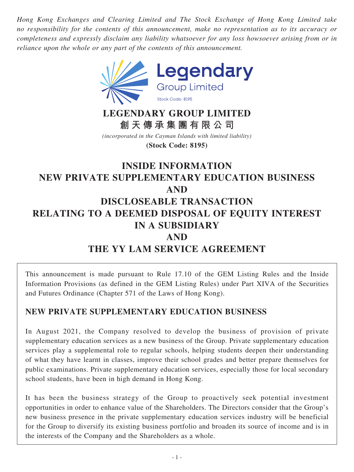*Hong Kong Exchanges and Clearing Limited and The Stock Exchange of Hong Kong Limited take no responsibility for the contents of this announcement, make no representation as to its accuracy or completeness and expressly disclaim any liability whatsoever for any loss howsoever arising from or in reliance upon the whole or any part of the contents of this announcement.*



# **LEGENDARY GROUP LIMITED 創天傳承集團有限公司**

*(incorporated in the Cayman Islands with limited liability)* **(Stock Code: 8195)**

# **INSIDE INFORMATION NEW PRIVATE SUPPLEMENTARY EDUCATION BUSINESS AND DISCLOSEABLE TRANSACTION RELATING TO A DEEMED DISPOSAL OF EQUITY INTEREST IN A SUBSIDIARY AND THE YY LAM SERVICE AGREEMENT**

This announcement is made pursuant to Rule 17.10 of the GEM Listing Rules and the Inside Information Provisions (as defined in the GEM Listing Rules) under Part XIVA of the Securities and Futures Ordinance (Chapter 571 of the Laws of Hong Kong).

# **NEW PRIVATE SUPPLEMENTARY EDUCATION BUSINESS**

In August 2021, the Company resolved to develop the business of provision of private supplementary education services as a new business of the Group. Private supplementary education services play a supplemental role to regular schools, helping students deepen their understanding of what they have learnt in classes, improve their school grades and better prepare themselves for public examinations. Private supplementary education services, especially those for local secondary school students, have been in high demand in Hong Kong.

It has been the business strategy of the Group to proactively seek potential investment opportunities in order to enhance value of the Shareholders. The Directors consider that the Group's new business presence in the private supplementary education services industry will be beneficial for the Group to diversify its existing business portfolio and broaden its source of income and is in the interests of the Company and the Shareholders as a whole.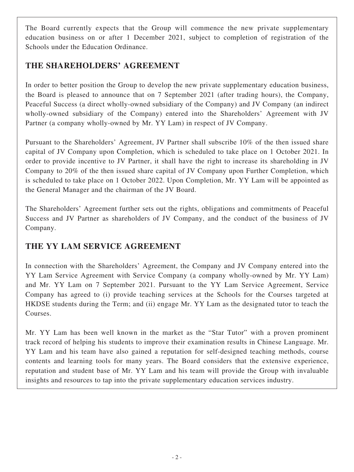The Board currently expects that the Group will commence the new private supplementary education business on or after 1 December 2021, subject to completion of registration of the Schools under the Education Ordinance.

# **THE SHAREHOLDERS' AGREEMENT**

In order to better position the Group to develop the new private supplementary education business, the Board is pleased to announce that on 7 September 2021 (after trading hours), the Company, Peaceful Success (a direct wholly-owned subsidiary of the Company) and JV Company (an indirect wholly-owned subsidiary of the Company) entered into the Shareholders' Agreement with JV Partner (a company wholly-owned by Mr. YY Lam) in respect of JV Company.

Pursuant to the Shareholders' Agreement, JV Partner shall subscribe 10% of the then issued share capital of JV Company upon Completion, which is scheduled to take place on 1 October 2021. In order to provide incentive to JV Partner, it shall have the right to increase its shareholding in JV Company to 20% of the then issued share capital of JV Company upon Further Completion, which is scheduled to take place on 1 October 2022. Upon Completion, Mr. YY Lam will be appointed as the General Manager and the chairman of the JV Board.

The Shareholders' Agreement further sets out the rights, obligations and commitments of Peaceful Success and JV Partner as shareholders of JV Company, and the conduct of the business of JV Company.

# **THE YY LAM SERVICE AGREEMENT**

In connection with the Shareholders' Agreement, the Company and JV Company entered into the YY Lam Service Agreement with Service Company (a company wholly-owned by Mr. YY Lam) and Mr. YY Lam on 7 September 2021. Pursuant to the YY Lam Service Agreement, Service Company has agreed to (i) provide teaching services at the Schools for the Courses targeted at HKDSE students during the Term; and (ii) engage Mr. YY Lam as the designated tutor to teach the Courses.

Mr. YY Lam has been well known in the market as the "Star Tutor" with a proven prominent track record of helping his students to improve their examination results in Chinese Language. Mr. YY Lam and his team have also gained a reputation for self-designed teaching methods, course contents and learning tools for many years. The Board considers that the extensive experience, reputation and student base of Mr. YY Lam and his team will provide the Group with invaluable insights and resources to tap into the private supplementary education services industry.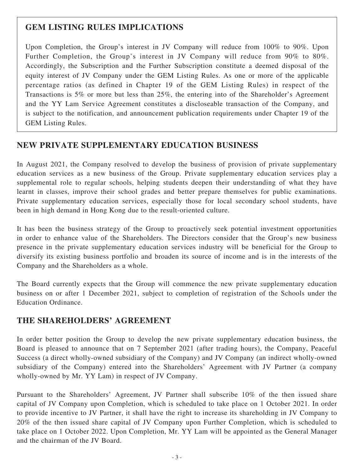# **GEM LISTING RULES IMPLICATIONS**

Upon Completion, the Group's interest in JV Company will reduce from 100% to 90%. Upon Further Completion, the Group's interest in JV Company will reduce from 90% to 80%. Accordingly, the Subscription and the Further Subscription constitute a deemed disposal of the equity interest of JV Company under the GEM Listing Rules. As one or more of the applicable percentage ratios (as defined in Chapter 19 of the GEM Listing Rules) in respect of the Transactions is 5% or more but less than 25%, the entering into of the Shareholder's Agreement and the YY Lam Service Agreement constitutes a discloseable transaction of the Company, and is subject to the notification, and announcement publication requirements under Chapter 19 of the GEM Listing Rules.

# **NEW PRIVATE SUPPLEMENTARY EDUCATION BUSINESS**

In August 2021, the Company resolved to develop the business of provision of private supplementary education services as a new business of the Group. Private supplementary education services play a supplemental role to regular schools, helping students deepen their understanding of what they have learnt in classes, improve their school grades and better prepare themselves for public examinations. Private supplementary education services, especially those for local secondary school students, have been in high demand in Hong Kong due to the result-oriented culture.

It has been the business strategy of the Group to proactively seek potential investment opportunities in order to enhance value of the Shareholders. The Directors consider that the Group's new business presence in the private supplementary education services industry will be beneficial for the Group to diversify its existing business portfolio and broaden its source of income and is in the interests of the Company and the Shareholders as a whole.

The Board currently expects that the Group will commence the new private supplementary education business on or after 1 December 2021, subject to completion of registration of the Schools under the Education Ordinance.

# **THE SHAREHOLDERS' AGREEMENT**

In order better position the Group to develop the new private supplementary education business, the Board is pleased to announce that on 7 September 2021 (after trading hours), the Company, Peaceful Success (a direct wholly-owned subsidiary of the Company) and JV Company (an indirect wholly-owned subsidiary of the Company) entered into the Shareholders' Agreement with JV Partner (a company wholly-owned by Mr. YY Lam) in respect of JV Company.

Pursuant to the Shareholders' Agreement, JV Partner shall subscribe 10% of the then issued share capital of JV Company upon Completion, which is scheduled to take place on 1 October 2021. In order to provide incentive to JV Partner, it shall have the right to increase its shareholding in JV Company to 20% of the then issued share capital of JV Company upon Further Completion, which is scheduled to take place on 1 October 2022. Upon Completion, Mr. YY Lam will be appointed as the General Manager and the chairman of the JV Board.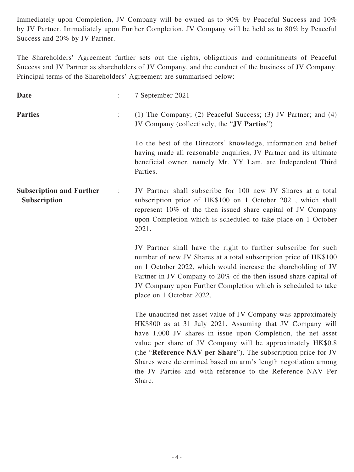Immediately upon Completion, JV Company will be owned as to 90% by Peaceful Success and 10% by JV Partner. Immediately upon Further Completion, JV Company will be held as to 80% by Peaceful Success and 20% by JV Partner.

The Shareholders' Agreement further sets out the rights, obligations and commitments of Peaceful Success and JV Partner as shareholders of JV Company, and the conduct of the business of JV Company. Principal terms of the Shareholders' Agreement are summarised below:

| <b>Date</b>                                     |                | 7 September 2021                                                                                                                                                                                                                                                                                                                                                                                                                                                      |
|-------------------------------------------------|----------------|-----------------------------------------------------------------------------------------------------------------------------------------------------------------------------------------------------------------------------------------------------------------------------------------------------------------------------------------------------------------------------------------------------------------------------------------------------------------------|
| <b>Parties</b>                                  | $\ddot{\cdot}$ | (1) The Company; (2) Peaceful Success; (3) JV Partner; and (4)<br>JV Company (collectively, the "JV Parties")                                                                                                                                                                                                                                                                                                                                                         |
|                                                 |                | To the best of the Directors' knowledge, information and belief<br>having made all reasonable enquiries, JV Partner and its ultimate<br>beneficial owner, namely Mr. YY Lam, are Independent Third<br>Parties.                                                                                                                                                                                                                                                        |
| <b>Subscription and Further</b><br>Subscription | $\ddot{\cdot}$ | JV Partner shall subscribe for 100 new JV Shares at a total<br>subscription price of HK\$100 on 1 October 2021, which shall<br>represent 10% of the then issued share capital of JV Company<br>upon Completion which is scheduled to take place on 1 October<br>2021.                                                                                                                                                                                                 |
|                                                 |                | JV Partner shall have the right to further subscribe for such<br>number of new JV Shares at a total subscription price of HK\$100<br>on 1 October 2022, which would increase the shareholding of JV<br>Partner in JV Company to 20% of the then issued share capital of<br>JV Company upon Further Completion which is scheduled to take<br>place on 1 October 2022.                                                                                                  |
|                                                 |                | The unaudited net asset value of JV Company was approximately<br>HK\$800 as at 31 July 2021. Assuming that JV Company will<br>have 1,000 JV shares in issue upon Completion, the net asset<br>value per share of JV Company will be approximately HK\$0.8<br>(the "Reference NAV per Share"). The subscription price for JV<br>Shares were determined based on arm's length negotiation among<br>the JV Parties and with reference to the Reference NAV Per<br>Share. |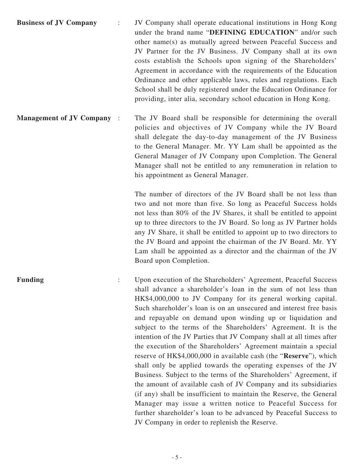- **Business of JV Company** : JV Company shall operate educational institutions in Hong Kong under the brand name "**DEFINING EDUCATION**" and/or such other name(s) as mutually agreed between Peaceful Success and JV Partner for the JV Business. JV Company shall at its own costs establish the Schools upon signing of the Shareholders' Agreement in accordance with the requirements of the Education Ordinance and other applicable laws, rules and regulations. Each School shall be duly registered under the Education Ordinance for providing, inter alia, secondary school education in Hong Kong.
- **Management of JV Company** : The JV Board shall be responsible for determining the overall policies and objectives of JV Company while the JV Board shall delegate the day-to-day management of the JV Business to the General Manager. Mr. YY Lam shall be appointed as the General Manager of JV Company upon Completion. The General Manager shall not be entitled to any remuneration in relation to his appointment as General Manager.

The number of directors of the JV Board shall be not less than two and not more than five. So long as Peaceful Success holds not less than 80% of the JV Shares, it shall be entitled to appoint up to three directors to the JV Board. So long as JV Partner holds any JV Share, it shall be entitled to appoint up to two directors to the JV Board and appoint the chairman of the JV Board. Mr. YY Lam shall be appointed as a director and the chairman of the JV Board upon Completion.

**Funding** : Upon execution of the Shareholders' Agreement, Peaceful Success shall advance a shareholder's loan in the sum of not less than HK\$4,000,000 to JV Company for its general working capital. Such shareholder's loan is on an unsecured and interest free basis and repayable on demand upon winding up or liquidation and subject to the terms of the Shareholders' Agreement. It is the intention of the JV Parties that JV Company shall at all times after the execution of the Shareholders' Agreement maintain a special reserve of HK\$4,000,000 in available cash (the "**Reserve**"), which shall only be applied towards the operating expenses of the JV Business. Subject to the terms of the Shareholders' Agreement, if the amount of available cash of JV Company and its subsidiaries (if any) shall be insufficient to maintain the Reserve, the General Manager may issue a written notice to Peaceful Success for further shareholder's loan to be advanced by Peaceful Success to JV Company in order to replenish the Reserve.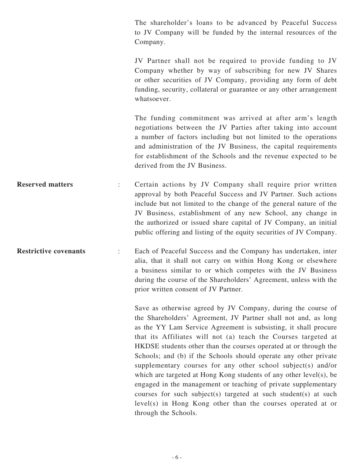The shareholder's loans to be advanced by Peaceful Success to JV Company will be funded by the internal resources of the Company.

JV Partner shall not be required to provide funding to JV Company whether by way of subscribing for new JV Shares or other securities of JV Company, providing any form of debt funding, security, collateral or guarantee or any other arrangement whatsoever.

The funding commitment was arrived at after arm's length negotiations between the JV Parties after taking into account a number of factors including but not limited to the operations and administration of the JV Business, the capital requirements for establishment of the Schools and the revenue expected to be derived from the JV Business.

**Reserved matters** : Certain actions by JV Company shall require prior written approval by both Peaceful Success and JV Partner. Such actions include but not limited to the change of the general nature of the JV Business, establishment of any new School, any change in the authorized or issued share capital of JV Company, an initial public offering and listing of the equity securities of JV Company.

**Restrictive covenants** : Each of Peaceful Success and the Company has undertaken, inter alia, that it shall not carry on within Hong Kong or elsewhere a business similar to or which competes with the JV Business during the course of the Shareholders' Agreement, unless with the prior written consent of JV Partner.

> Save as otherwise agreed by JV Company, during the course of the Shareholders' Agreement, JV Partner shall not and, as long as the YY Lam Service Agreement is subsisting, it shall procure that its Affiliates will not (a) teach the Courses targeted at HKDSE students other than the courses operated at or through the Schools; and (b) if the Schools should operate any other private supplementary courses for any other school subject(s) and/or which are targeted at Hong Kong students of any other level(s), be engaged in the management or teaching of private supplementary courses for such subject(s) targeted at such student(s) at such level(s) in Hong Kong other than the courses operated at or through the Schools.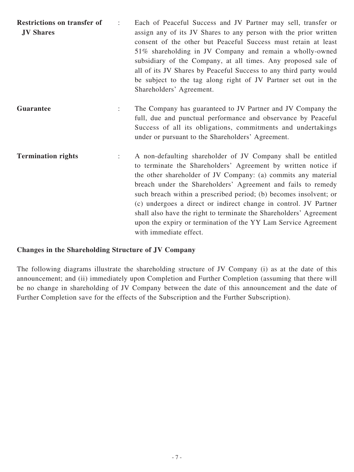| <b>Restrictions on transfer of</b><br><b>JV Shares</b> | Each of Peaceful Success and JV Partner may sell, transfer or<br>assign any of its JV Shares to any person with the prior written<br>consent of the other but Peaceful Success must retain at least<br>51% shareholding in JV Company and remain a wholly-owned<br>subsidiary of the Company, at all times. Any proposed sale of<br>all of its JV Shares by Peaceful Success to any third party would<br>be subject to the tag along right of JV Partner set out in the<br>Shareholders' Agreement.                                                                       |
|--------------------------------------------------------|---------------------------------------------------------------------------------------------------------------------------------------------------------------------------------------------------------------------------------------------------------------------------------------------------------------------------------------------------------------------------------------------------------------------------------------------------------------------------------------------------------------------------------------------------------------------------|
| <b>Guarantee</b>                                       | The Company has guaranteed to JV Partner and JV Company the<br>full, due and punctual performance and observance by Peaceful<br>Success of all its obligations, commitments and undertakings<br>under or pursuant to the Shareholders' Agreement.                                                                                                                                                                                                                                                                                                                         |
| <b>Termination rights</b>                              | A non-defaulting shareholder of JV Company shall be entitled<br>to terminate the Shareholders' Agreement by written notice if<br>the other shareholder of JV Company: (a) commits any material<br>breach under the Shareholders' Agreement and fails to remedy<br>such breach within a prescribed period; (b) becomes insolvent; or<br>(c) undergoes a direct or indirect change in control. JV Partner<br>shall also have the right to terminate the Shareholders' Agreement<br>upon the expiry or termination of the YY Lam Service Agreement<br>with immediate effect. |

### **Changes in the Shareholding Structure of JV Company**

The following diagrams illustrate the shareholding structure of JV Company (i) as at the date of this announcement; and (ii) immediately upon Completion and Further Completion (assuming that there will be no change in shareholding of JV Company between the date of this announcement and the date of Further Completion save for the effects of the Subscription and the Further Subscription).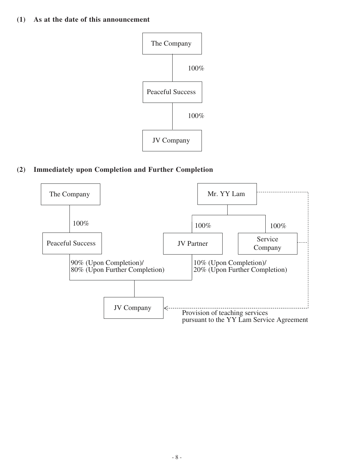### **(1) As at the date of this announcement**



### **(2) Immediately upon Completion and Further Completion**

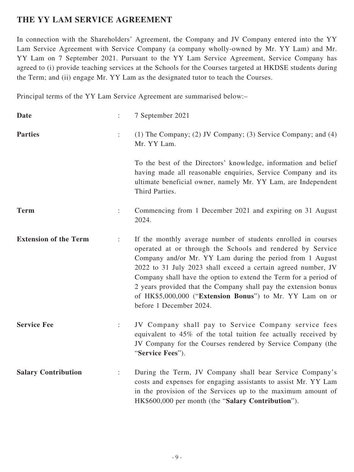# **THE YY LAM SERVICE AGREEMENT**

In connection with the Shareholders' Agreement, the Company and JV Company entered into the YY Lam Service Agreement with Service Company (a company wholly-owned by Mr. YY Lam) and Mr. YY Lam on 7 September 2021. Pursuant to the YY Lam Service Agreement, Service Company has agreed to (i) provide teaching services at the Schools for the Courses targeted at HKDSE students during the Term; and (ii) engage Mr. YY Lam as the designated tutor to teach the Courses.

Principal terms of the YY Lam Service Agreement are summarised below:–

| <b>Date</b>                  | $\ddot{\cdot}$ | 7 September 2021                                                                                                                                                                                                                                                                                                                                                                                                                                                                        |
|------------------------------|----------------|-----------------------------------------------------------------------------------------------------------------------------------------------------------------------------------------------------------------------------------------------------------------------------------------------------------------------------------------------------------------------------------------------------------------------------------------------------------------------------------------|
| <b>Parties</b>               | $\ddot{\cdot}$ | (1) The Company; (2) JV Company; (3) Service Company; and (4)<br>Mr. YY Lam.                                                                                                                                                                                                                                                                                                                                                                                                            |
|                              |                | To the best of the Directors' knowledge, information and belief<br>having made all reasonable enquiries, Service Company and its<br>ultimate beneficial owner, namely Mr. YY Lam, are Independent<br>Third Parties.                                                                                                                                                                                                                                                                     |
| <b>Term</b>                  |                | Commencing from 1 December 2021 and expiring on 31 August<br>2024.                                                                                                                                                                                                                                                                                                                                                                                                                      |
| <b>Extension of the Term</b> | $\ddot{\cdot}$ | If the monthly average number of students enrolled in courses<br>operated at or through the Schools and rendered by Service<br>Company and/or Mr. YY Lam during the period from 1 August<br>2022 to 31 July 2023 shall exceed a certain agreed number, JV<br>Company shall have the option to extend the Term for a period of<br>2 years provided that the Company shall pay the extension bonus<br>of HK\$5,000,000 ("Extension Bonus") to Mr. YY Lam on or<br>before 1 December 2024. |
| <b>Service Fee</b>           |                | JV Company shall pay to Service Company service fees<br>equivalent to 45% of the total tuition fee actually received by<br>JV Company for the Courses rendered by Service Company (the<br>"Service Fees").                                                                                                                                                                                                                                                                              |
| <b>Salary Contribution</b>   |                | During the Term, JV Company shall bear Service Company's<br>costs and expenses for engaging assistants to assist Mr. YY Lam<br>in the provision of the Services up to the maximum amount of<br>HK\$600,000 per month (the "Salary Contribution").                                                                                                                                                                                                                                       |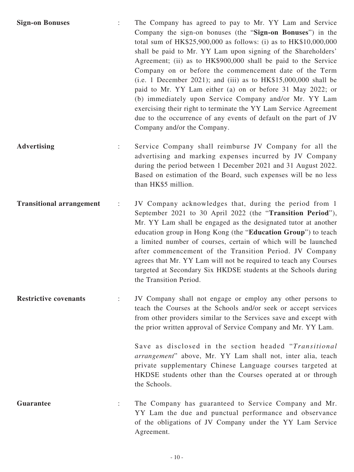- **Sign-on Bonuses** : The Company has agreed to pay to Mr. YY Lam and Service Company the sign-on bonuses (the "**Sign-on Bonuses**") in the total sum of HK\$25,900,000 as follows: (i) as to HK\$10,000,000 shall be paid to Mr. YY Lam upon signing of the Shareholders' Agreement; (ii) as to HK\$900,000 shall be paid to the Service Company on or before the commencement date of the Term  $(i.e. 1 December 2021);$  and  $(iii)$  as to  $HK$15,000,000$  shall be paid to Mr. YY Lam either (a) on or before 31 May 2022; or (b) immediately upon Service Company and/or Mr. YY Lam exercising their right to terminate the YY Lam Service Agreement due to the occurrence of any events of default on the part of JV Company and/or the Company.
- **Advertising** : Service Company shall reimburse JV Company for all the advertising and marking expenses incurred by JV Company during the period between 1 December 2021 and 31 August 2022. Based on estimation of the Board, such expenses will be no less than HK\$5 million.
- **Transitional arrangement** : JV Company acknowledges that, during the period from 1 September 2021 to 30 April 2022 (the "**Transition Period**"), Mr. YY Lam shall be engaged as the designated tutor at another education group in Hong Kong (the "**Education Group**") to teach a limited number of courses, certain of which will be launched after commencement of the Transition Period. JV Company agrees that Mr. YY Lam will not be required to teach any Courses targeted at Secondary Six HKDSE students at the Schools during the Transition Period.
- **Restrictive covenants** : JV Company shall not engage or employ any other persons to teach the Courses at the Schools and/or seek or accept services from other providers similar to the Services save and except with the prior written approval of Service Company and Mr. YY Lam.

Save as disclosed in the section headed "*Transitional arrangement*" above, Mr. YY Lam shall not, inter alia, teach private supplementary Chinese Language courses targeted at HKDSE students other than the Courses operated at or through the Schools.

Guarantee : The Company has guaranteed to Service Company and Mr. YY Lam the due and punctual performance and observance of the obligations of JV Company under the YY Lam Service Agreement.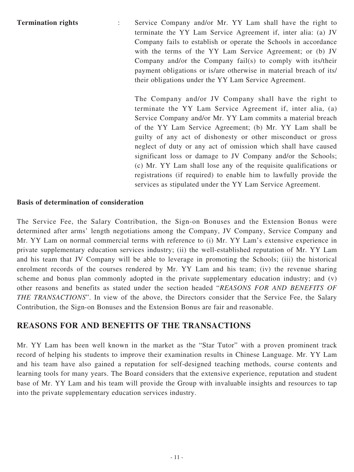**Termination rights** : Service Company and/or Mr. YY Lam shall have the right to terminate the YY Lam Service Agreement if, inter alia: (a) JV Company fails to establish or operate the Schools in accordance with the terms of the YY Lam Service Agreement; or (b) JV Company and/or the Company fail(s) to comply with its/their payment obligations or is/are otherwise in material breach of its/ their obligations under the YY Lam Service Agreement.

> The Company and/or JV Company shall have the right to terminate the YY Lam Service Agreement if, inter alia, (a) Service Company and/or Mr. YY Lam commits a material breach of the YY Lam Service Agreement; (b) Mr. YY Lam shall be guilty of any act of dishonesty or other misconduct or gross neglect of duty or any act of omission which shall have caused significant loss or damage to JV Company and/or the Schools; (c) Mr. YY Lam shall lose any of the requisite qualifications or registrations (if required) to enable him to lawfully provide the services as stipulated under the YY Lam Service Agreement.

### **Basis of determination of consideration**

The Service Fee, the Salary Contribution, the Sign-on Bonuses and the Extension Bonus were determined after arms' length negotiations among the Company, JV Company, Service Company and Mr. YY Lam on normal commercial terms with reference to (i) Mr. YY Lam's extensive experience in private supplementary education services industry; (ii) the well-established reputation of Mr. YY Lam and his team that JV Company will be able to leverage in promoting the Schools; (iii) the historical enrolment records of the courses rendered by Mr. YY Lam and his team; (iv) the revenue sharing scheme and bonus plan commonly adopted in the private supplementary education industry; and (v) other reasons and benefits as stated under the section headed "*REASONS FOR AND BENEFITS OF THE TRANSACTIONS*". In view of the above, the Directors consider that the Service Fee, the Salary Contribution, the Sign-on Bonuses and the Extension Bonus are fair and reasonable.

### **REASONS FOR AND BENEFITS OF THE TRANSACTIONS**

Mr. YY Lam has been well known in the market as the "Star Tutor" with a proven prominent track record of helping his students to improve their examination results in Chinese Language. Mr. YY Lam and his team have also gained a reputation for self-designed teaching methods, course contents and learning tools for many years. The Board considers that the extensive experience, reputation and student base of Mr. YY Lam and his team will provide the Group with invaluable insights and resources to tap into the private supplementary education services industry.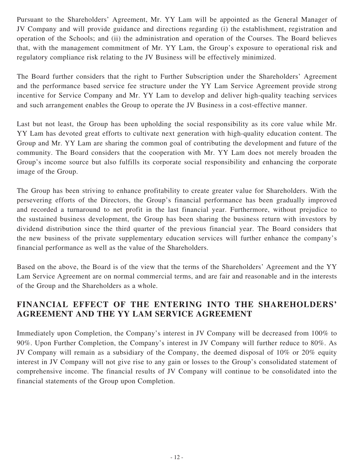Pursuant to the Shareholders' Agreement, Mr. YY Lam will be appointed as the General Manager of JV Company and will provide guidance and directions regarding (i) the establishment, registration and operation of the Schools; and (ii) the administration and operation of the Courses. The Board believes that, with the management commitment of Mr. YY Lam, the Group's exposure to operational risk and regulatory compliance risk relating to the JV Business will be effectively minimized.

The Board further considers that the right to Further Subscription under the Shareholders' Agreement and the performance based service fee structure under the YY Lam Service Agreement provide strong incentive for Service Company and Mr. YY Lam to develop and deliver high-quality teaching services and such arrangement enables the Group to operate the JV Business in a cost-effective manner.

Last but not least, the Group has been upholding the social responsibility as its core value while Mr. YY Lam has devoted great efforts to cultivate next generation with high-quality education content. The Group and Mr. YY Lam are sharing the common goal of contributing the development and future of the community. The Board considers that the cooperation with Mr. YY Lam does not merely broaden the Group's income source but also fulfills its corporate social responsibility and enhancing the corporate image of the Group.

The Group has been striving to enhance profitability to create greater value for Shareholders. With the persevering efforts of the Directors, the Group's financial performance has been gradually improved and recorded a turnaround to net profit in the last financial year. Furthermore, without prejudice to the sustained business development, the Group has been sharing the business return with investors by dividend distribution since the third quarter of the previous financial year. The Board considers that the new business of the private supplementary education services will further enhance the company's financial performance as well as the value of the Shareholders.

Based on the above, the Board is of the view that the terms of the Shareholders' Agreement and the YY Lam Service Agreement are on normal commercial terms, and are fair and reasonable and in the interests of the Group and the Shareholders as a whole.

# **FINANCIAL EFFECT OF THE ENTERING INTO THE SHAREHOLDERS' AGREEMENT AND THE YY LAM SERVICE AGREEMENT**

Immediately upon Completion, the Company's interest in JV Company will be decreased from 100% to 90%. Upon Further Completion, the Company's interest in JV Company will further reduce to 80%. As JV Company will remain as a subsidiary of the Company, the deemed disposal of 10% or 20% equity interest in JV Company will not give rise to any gain or losses to the Group's consolidated statement of comprehensive income. The financial results of JV Company will continue to be consolidated into the financial statements of the Group upon Completion.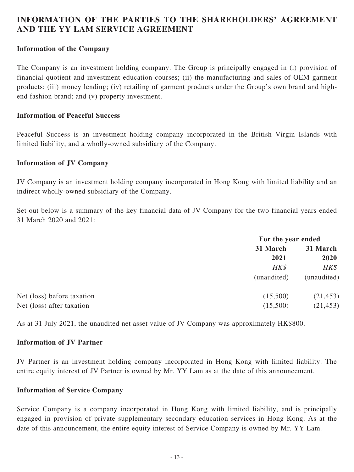### **INFORMATION OF THE PARTIES TO THE SHAREHOLDERS' AGREEMENT AND THE YY LAM SERVICE AGREEMENT**

### **Information of the Company**

The Company is an investment holding company. The Group is principally engaged in (i) provision of financial quotient and investment education courses; (ii) the manufacturing and sales of OEM garment products; (iii) money lending; (iv) retailing of garment products under the Group's own brand and highend fashion brand; and (v) property investment.

### **Information of Peaceful Success**

Peaceful Success is an investment holding company incorporated in the British Virgin Islands with limited liability, and a wholly-owned subsidiary of the Company.

#### **Information of JV Company**

JV Company is an investment holding company incorporated in Hong Kong with limited liability and an indirect wholly-owned subsidiary of the Company.

Set out below is a summary of the key financial data of JV Company for the two financial years ended 31 March 2020 and 2021:

|                            |             | For the year ended |  |
|----------------------------|-------------|--------------------|--|
|                            | 31 March    | 31 March           |  |
|                            | 2021        | 2020               |  |
|                            | HK\$        | $H K \$            |  |
|                            | (unaudited) | (unaudited)        |  |
| Net (loss) before taxation | (15,500)    | (21, 453)          |  |
| Net (loss) after taxation  | (15,500)    | (21, 453)          |  |
|                            |             |                    |  |

As at 31 July 2021, the unaudited net asset value of JV Company was approximately HK\$800.

### **Information of JV Partner**

JV Partner is an investment holding company incorporated in Hong Kong with limited liability. The entire equity interest of JV Partner is owned by Mr. YY Lam as at the date of this announcement.

#### **Information of Service Company**

Service Company is a company incorporated in Hong Kong with limited liability, and is principally engaged in provision of private supplementary secondary education services in Hong Kong. As at the date of this announcement, the entire equity interest of Service Company is owned by Mr. YY Lam.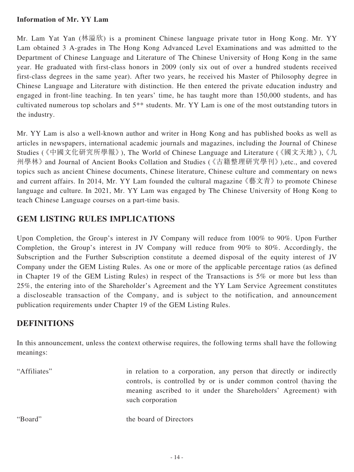### **Information of Mr. YY Lam**

Mr. Lam Yat Yan (林溢欣) is a prominent Chinese language private tutor in Hong Kong. Mr. YY Lam obtained 3 A-grades in The Hong Kong Advanced Level Examinations and was admitted to the Department of Chinese Language and Literature of The Chinese University of Hong Kong in the same year. He graduated with first-class honors in 2009 (only six out of over a hundred students received first-class degrees in the same year). After two years, he received his Master of Philosophy degree in Chinese Language and Literature with distinction. He then entered the private education industry and engaged in front-line teaching. In ten years' time, he has taught more than 150,000 students, and has cultivated numerous top scholars and 5\*\* students. Mr. YY Lam is one of the most outstanding tutors in the industry.

Mr. YY Lam is also a well-known author and writer in Hong Kong and has published books as well as articles in newspapers, international academic journals and magazines, including the Journal of Chinese Studies (《中國文化研究所學報》), The World of Chinese Language and Literature (《國文天地》), 《九 州學林》 and Journal of Ancient Books Collation and Studies (《古籍整理研究學刊》),etc., and covered topics such as ancient Chinese documents, Chinese literature, Chinese culture and commentary on news and current affairs. In 2014, Mr. YY Lam founded the cultural magazine 《藝文青》 to promote Chinese language and culture. In 2021, Mr. YY Lam was engaged by The Chinese University of Hong Kong to teach Chinese Language courses on a part-time basis.

# **GEM LISTING RULES IMPLICATIONS**

Upon Completion, the Group's interest in JV Company will reduce from 100% to 90%. Upon Further Completion, the Group's interest in JV Company will reduce from 90% to 80%. Accordingly, the Subscription and the Further Subscription constitute a deemed disposal of the equity interest of JV Company under the GEM Listing Rules. As one or more of the applicable percentage ratios (as defined in Chapter 19 of the GEM Listing Rules) in respect of the Transactions is 5% or more but less than 25%, the entering into of the Shareholder's Agreement and the YY Lam Service Agreement constitutes a discloseable transaction of the Company, and is subject to the notification, and announcement publication requirements under Chapter 19 of the GEM Listing Rules.

# **DEFINITIONS**

In this announcement, unless the context otherwise requires, the following terms shall have the following meanings:

"Affiliates" in relation to a corporation, any person that directly or indirectly controls, is controlled by or is under common control (having the meaning ascribed to it under the Shareholders' Agreement) with such corporation

"Board" the board of Directors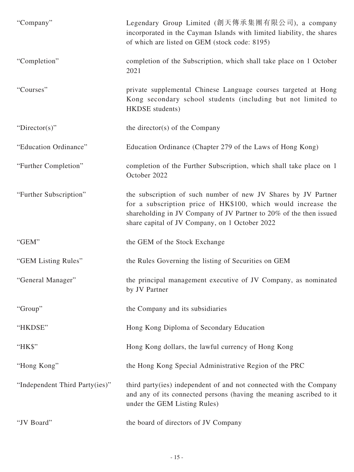| "Company"                      | Legendary Group Limited (創天傳承集團有限公司), a company<br>incorporated in the Cayman Islands with limited liability, the shares<br>of which are listed on GEM (stock code: 8195)                                                                               |
|--------------------------------|---------------------------------------------------------------------------------------------------------------------------------------------------------------------------------------------------------------------------------------------------------|
| "Completion"                   | completion of the Subscription, which shall take place on 1 October<br>2021                                                                                                                                                                             |
| "Courses"                      | private supplemental Chinese Language courses targeted at Hong<br>Kong secondary school students (including but not limited to<br>HKDSE students)                                                                                                       |
| "Director(s)"                  | the director(s) of the Company                                                                                                                                                                                                                          |
| "Education Ordinance"          | Education Ordinance (Chapter 279 of the Laws of Hong Kong)                                                                                                                                                                                              |
| "Further Completion"           | completion of the Further Subscription, which shall take place on 1<br>October 2022                                                                                                                                                                     |
| "Further Subscription"         | the subscription of such number of new JV Shares by JV Partner<br>for a subscription price of HK\$100, which would increase the<br>shareholding in JV Company of JV Partner to 20% of the then issued<br>share capital of JV Company, on 1 October 2022 |
| "GEM"                          | the GEM of the Stock Exchange                                                                                                                                                                                                                           |
| "GEM Listing Rules"            | the Rules Governing the listing of Securities on GEM                                                                                                                                                                                                    |
| "General Manager"              | the principal management executive of JV Company, as nominated<br>by JV Partner                                                                                                                                                                         |
| "Group"                        | the Company and its subsidiaries                                                                                                                                                                                                                        |
| "HKDSE"                        | Hong Kong Diploma of Secondary Education                                                                                                                                                                                                                |
| "HK\$"                         | Hong Kong dollars, the lawful currency of Hong Kong                                                                                                                                                                                                     |
| "Hong Kong"                    | the Hong Kong Special Administrative Region of the PRC                                                                                                                                                                                                  |
| "Independent Third Party(ies)" | third party(ies) independent of and not connected with the Company<br>and any of its connected persons (having the meaning ascribed to it<br>under the GEM Listing Rules)                                                                               |
| "JV Board"                     | the board of directors of JV Company                                                                                                                                                                                                                    |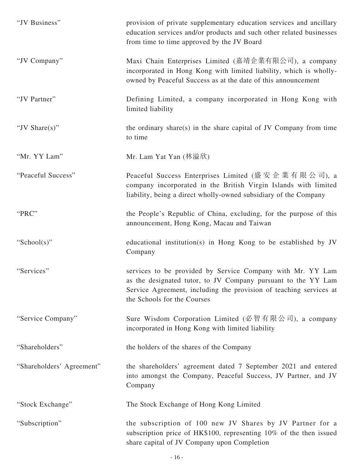| "JV Business"             | provision of private supplementary education services and ancillary<br>education services and/or products and such other related businesses<br>from time to time approved by the JV Board                                        |
|---------------------------|----------------------------------------------------------------------------------------------------------------------------------------------------------------------------------------------------------------------------------|
| "JV Company"              | Maxi Chain Enterprises Limited (嘉靖企業有限公司), a company<br>incorporated in Hong Kong with limited liability, which is wholly-<br>owned by Peaceful Success as at the date of this announcement                                      |
| "JV Partner"              | Defining Limited, a company incorporated in Hong Kong with<br>limited liability                                                                                                                                                  |
| "JV Share $(s)$ "         | the ordinary share(s) in the share capital of JV Company from time<br>to time                                                                                                                                                    |
| "Mr. YY Lam"              | Mr. Lam Yat Yan (林溢欣)                                                                                                                                                                                                            |
| "Peaceful Success"        | Peaceful Success Enterprises Limited (盛安企業有限公司), a<br>company incorporated in the British Virgin Islands with limited<br>liability, being a direct wholly-owned subsidiary of the Company                                        |
| "PRC"                     | the People's Republic of China, excluding, for the purpose of this<br>announcement, Hong Kong, Macau and Taiwan                                                                                                                  |
| "School(s)"               | educational institution(s) in Hong Kong to be established by JV<br>Company                                                                                                                                                       |
| "Services"                | services to be provided by Service Company with Mr. YY Lam<br>as the designated tutor, to JV Company pursuant to the YY Lam<br>Service Agreement, including the provision of teaching services at<br>the Schools for the Courses |
| "Service Company"         | Sure Wisdom Corporation Limited (必智有限公司), a company<br>incorporated in Hong Kong with limited liability                                                                                                                          |
| "Shareholders"            | the holders of the shares of the Company                                                                                                                                                                                         |
| "Shareholders' Agreement" | the shareholders' agreement dated 7 September 2021 and entered<br>into amongst the Company, Peaceful Success, JV Partner, and JV<br>Company                                                                                      |
| "Stock Exchange"          | The Stock Exchange of Hong Kong Limited                                                                                                                                                                                          |
| "Subscription"            | the subscription of 100 new JV Shares by JV Partner for a<br>subscription price of HK\$100, representing 10% of the then issued<br>share capital of JV Company upon Completion                                                   |